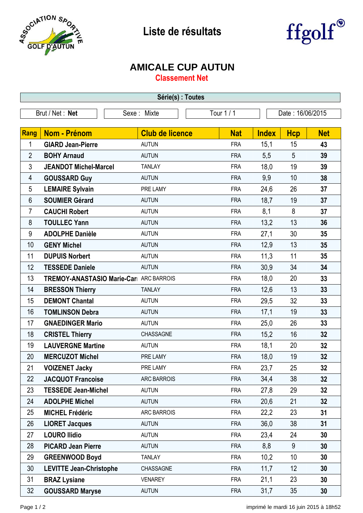

## **Liste de résultats**



## **AMICALE CUP AUTUN**

**Classement Net**

| Série(s) : Toutes |                                         |                           |            |                  |            |            |  |  |  |  |
|-------------------|-----------------------------------------|---------------------------|------------|------------------|------------|------------|--|--|--|--|
| Brut / Net: Net   |                                         | Tour 1 / 1<br>Sexe: Mixte |            | Date: 16/06/2015 |            |            |  |  |  |  |
|                   |                                         |                           |            |                  |            |            |  |  |  |  |
| Rang              | <b>Nom - Prénom</b>                     | <b>Club de licence</b>    | <b>Nat</b> | <b>Index</b>     | <b>Hcp</b> | <b>Net</b> |  |  |  |  |
| 1                 | <b>GIARD Jean-Pierre</b>                | <b>AUTUN</b>              | <b>FRA</b> | 15,1             | 15         | 43         |  |  |  |  |
| $\overline{2}$    | <b>BOHY Arnaud</b>                      | <b>AUTUN</b>              | <b>FRA</b> | 5,5              | 5          | 39         |  |  |  |  |
| 3                 | <b>JEANDOT Michel-Marcel</b>            | <b>TANLAY</b>             | <b>FRA</b> | 18,0             | 19         | 39         |  |  |  |  |
| 4                 | <b>GOUSSARD Guy</b>                     | <b>AUTUN</b>              | <b>FRA</b> | 9,9              | 10         | 38         |  |  |  |  |
| 5                 | <b>LEMAIRE Sylvain</b>                  | PRE LAMY                  | <b>FRA</b> | 24,6             | 26         | 37         |  |  |  |  |
| 6                 | <b>SOUMIER Gérard</b>                   | <b>AUTUN</b>              | <b>FRA</b> | 18,7             | 19         | 37         |  |  |  |  |
| 7                 | <b>CAUCHI Robert</b>                    | <b>AUTUN</b>              | <b>FRA</b> | 8,1              | 8          | 37         |  |  |  |  |
| $\bf 8$           | <b>TOULLEC Yann</b>                     | <b>AUTUN</b>              | <b>FRA</b> | 13,2             | 13         | 36         |  |  |  |  |
| $9\,$             | <b>ADOLPHE Danièle</b>                  | <b>AUTUN</b>              | <b>FRA</b> | 27,1             | 30         | 35         |  |  |  |  |
| 10                | <b>GENY Michel</b>                      | <b>AUTUN</b>              | <b>FRA</b> | 12,9             | 13         | 35         |  |  |  |  |
| 11                | <b>DUPUIS Norbert</b>                   | <b>AUTUN</b>              | <b>FRA</b> | 11,3             | 11         | 35         |  |  |  |  |
| 12                | <b>TESSEDE Daniele</b>                  | <b>AUTUN</b>              | <b>FRA</b> | 30,9             | 34         | 34         |  |  |  |  |
| 13                | TREMOY-ANASTASIO Marie-Carl ARC BARROIS |                           | <b>FRA</b> | 18,0             | 20         | 33         |  |  |  |  |
| 14                | <b>BRESSON Thierry</b>                  | <b>TANLAY</b>             | <b>FRA</b> | 12,6             | 13         | 33         |  |  |  |  |
| 15                | <b>DEMONT Chantal</b>                   | <b>AUTUN</b>              | <b>FRA</b> | 29,5             | 32         | 33         |  |  |  |  |
| 16                | <b>TOMLINSON Debra</b>                  | <b>AUTUN</b>              | <b>FRA</b> | 17,1             | 19         | 33         |  |  |  |  |
| 17                | <b>GNAEDINGER Mario</b>                 | <b>AUTUN</b>              | <b>FRA</b> | 25,0             | 26         | 33         |  |  |  |  |
| 18                | <b>CRISTEL Thierry</b>                  | CHASSAGNE                 | <b>FRA</b> | 15,2             | 16         | 32         |  |  |  |  |
| 19                | <b>LAUVERGNE Martine</b>                | <b>AUTUN</b>              | <b>FRA</b> | 18,1             | 20         | 32         |  |  |  |  |
| 20                | <b>MERCUZOT Michel</b>                  | PRE LAMY                  | <b>FRA</b> | 18,0             | 19         | 32         |  |  |  |  |
| 21                | <b>VOIZENET Jacky</b>                   | PRE LAMY                  | <b>FRA</b> | 23,7             | 25         | 32         |  |  |  |  |
| 22                | <b>JACQUOT Francoise</b>                | <b>ARC BARROIS</b>        | <b>FRA</b> | 34,4             | 38         | 32         |  |  |  |  |
| 23                | <b>TESSEDE Jean-Michel</b>              | <b>AUTUN</b>              | <b>FRA</b> | 27,8             | 29         | 32         |  |  |  |  |
| 24                | <b>ADOLPHE Michel</b>                   | <b>AUTUN</b>              | <b>FRA</b> | 20,6             | 21         | 32         |  |  |  |  |
| 25                | <b>MICHEL Frédéric</b>                  | ARC BARROIS               | <b>FRA</b> | 22,2             | 23         | 31         |  |  |  |  |
| 26                | <b>LIORET Jacques</b>                   | <b>AUTUN</b>              | <b>FRA</b> | 36,0             | 38         | 31         |  |  |  |  |
| 27                | <b>LOURO Ilidio</b>                     | <b>AUTUN</b>              | <b>FRA</b> | 23,4             | 24         | 30         |  |  |  |  |
| 28                | <b>PICARD Jean Pierre</b>               | <b>AUTUN</b>              | <b>FRA</b> | 8,8              | 9          | 30         |  |  |  |  |
| 29                | <b>GREENWOOD Boyd</b>                   | <b>TANLAY</b>             | <b>FRA</b> | 10,2             | 10         | 30         |  |  |  |  |
| 30                | <b>LEVITTE Jean-Christophe</b>          | CHASSAGNE                 | <b>FRA</b> | 11,7             | 12         | 30         |  |  |  |  |
| 31                | <b>BRAZ Lysiane</b>                     | <b>VENAREY</b>            | <b>FRA</b> | 21,1             | 23         | 30         |  |  |  |  |
| 32                | <b>GOUSSARD Maryse</b>                  | <b>AUTUN</b>              | <b>FRA</b> | 31,7             | 35         | 30         |  |  |  |  |